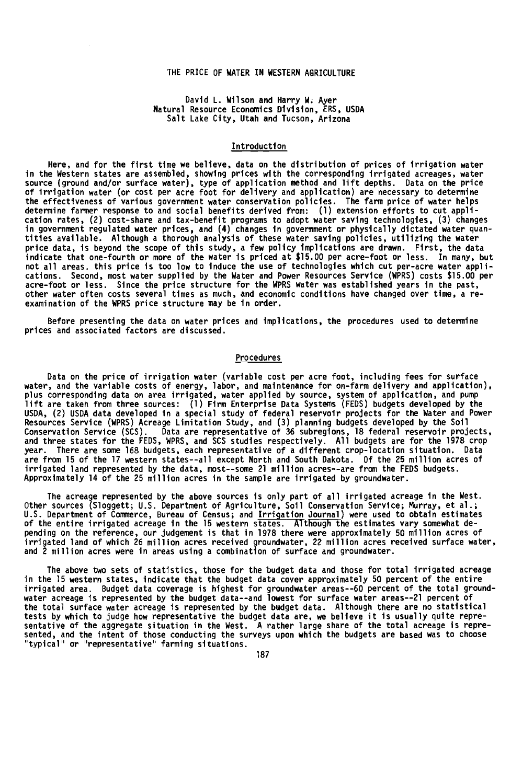## THE PRICE OF WATER IN WESTERN AGRICULTURE

### David L. Wilson and Harry W. Ayer Natural Resource Economics Division, ERS, USDA Salt Lake City, Utah and Tucson, Arizona

#### Introduction

Here, and for the first time we believe, data on the distribution of prices of irrigation water in the Western states are assembled, showing prices with the corresponding irrigated acreages, water<br>source (ground and/or surface water), type of application method and lift depths. Data on the price<br>of irrigation water the effectiveness of various government water conservation policies. The farm price of water helps determine farmer response to and social benefits derived from: (1) extension efforts to cut application rates, (2) cost -share and tax -benefit programs to adopt water saving technologies, (3) changes in government regulated water prices, and (4) changes in government or physically dictated water quantities available. Although a thorough analysis of these water saving policies, utilizing the water price data, is beyond the scope or this study, a rew policy implications are drawn. First, the data<br>indicate that one-fourth or more of the water is priced at \$15.00 per acre-foot or less. In many, but<br>not all areas. this cations. Second, most water supplied by the Water and Power Resources Service (WPRS) costs \$15.00 per acre -foot or less. Since the price structure for the WPRS water was established years in the past, other water often costs several times as much, and economic conditions have changed over time, a reexamination of the WPRS price structure may be in order.

Before presenting the data on water prices and implications, the procedures used to determine prices and associated factors are discussed.

### Procedures

Data on the price of irrigation water (variable cost per acre foot, including fees for surface water, and the variable costs of energy, labor, and maintenance for on -farm delivery and application), plus corresponding data on area irrigated, water applied by source, system of application, and pump lift are taken from three sources: (1) Firm Enterprise Data Systems (FEDS) budgets developed by the USDA, (2) USDA data developed in a special study of federal reservoir projects for the Water and Power<br>Resources Service (WPRS) Acreage Limitation Study, and (3) planning budgets developed by the Soil<br>Conservation Service year. There are some 168 budgets, each representative of a different crop-location situation. Data<br>are from 15 of the 17 western states--all except North and South Dakota. Of the 25 million acres of irrigated land represented by the data, most--some 21 million acres--are from the FEDS budgets. Approximately 14 of the 25 million acres in the sample are irrigated by groundwater.

The acreage represented by the above sources is only part of all irrigated acreage in the West. Other sources (Sloggett; U.S. Department of Agriculture, Soil Conservation Service; Murray, et al.; U.S. Department of Commerce, Bureau of Census; and Irrigation Journal) were used to obtain estimates of the entire irrigated acreage in the 15 western states. Although the estimates vary somewhat depending on the reference, our judgement is that in 1978 there were approximately 50 million acres of irrigated land of which 26 million acres received groundwater, 22 million acres received surface water, and 2 million acres were in areas using a combination of surface and groundwater.

The above two sets of statistics, those for the budget data and those for total irrigated acreage in the 15 western states, indicate that the budget data cover approximately 50 percent of the entire irrigated area. Budget data coverage is highest for groundwater areas --60 percent of the total groundwater acreage is represented by the budget data --and lowest for surface water areas --21 percent of the total surface water acreage is represented by the budget data. Although there are no statistical tests by which to judge how representative the budget data are, we believe it is usually quite repre-sentative of the aggregate situation in the West. A rather large share of the total acreage is represented, and the intent of those conducting the surveys upon which the budgets are based was to choose "typical" or "representative" farming situations.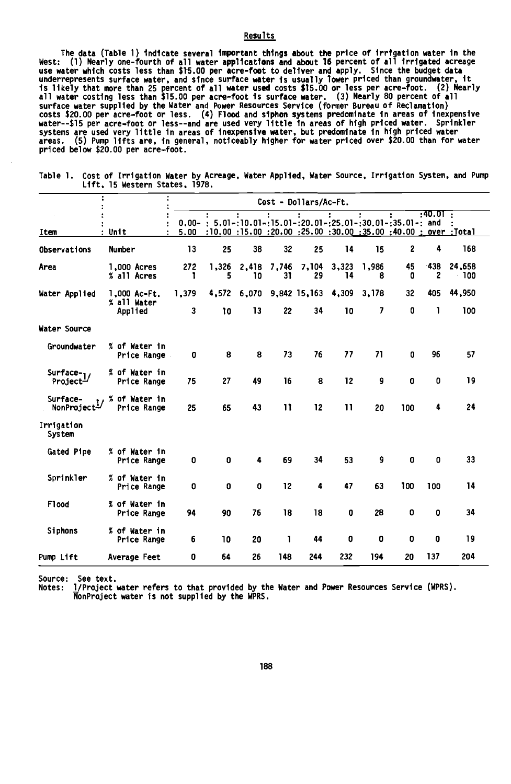# Results

ine data (lable 1) indicate several important traings about the price of irrigation water in the like the like<br>West: (1) Nearly one-fourth of all water applications and about 16 percent of all irrigated acreage<br>use water w surface water supplied by the Water and Power Resources Service (former Bureau of Reclamation) costs \$20.00 per acre -foot or less. (4) Flood and siphon systems predominate in areas of inexpensive water--\$15 per acre-foot or less--and are used very little in areas of high priced water. Sprinkler<br>systems are used very little in areas of inexpensive water, but predominate in high priced water<br>areas. (5) Pump lifts are priced below \$20.00 per acre -foot.

|                                      | Cost - Dollars/Ac-Ft.                  |            |                                                                 |             |              |                                |                 |            |                                                                       |           |                 |  |
|--------------------------------------|----------------------------------------|------------|-----------------------------------------------------------------|-------------|--------------|--------------------------------|-----------------|------------|-----------------------------------------------------------------------|-----------|-----------------|--|
| Item                                 | : Unit                                 | 5.00       | $0.00 -$ : 5.01-:10.01-:15.01-:20.01-:25.01-:30.01-:35.01-: and |             |              |                                |                 |            | Total; over : 00.00 : 20.00 : 25.00 : 30.00 : 10.00 : 15.00 : 10.00 : | : 40.01 : |                 |  |
| Observations                         | Number                                 | 13         | 25                                                              | 38          | 32           | 25                             | 14              | 15         | 2                                                                     | 4         | 168             |  |
| Area                                 | 1,000 Acres<br>% all Acres             | 272<br>1   | 1,326<br>5                                                      | 2,418<br>10 | 7,746<br>31  | 7,104<br>29                    | 3,323<br>14     | 1,986<br>8 | 45<br>0                                                               | -438<br>2 | 24,658<br>- 100 |  |
| Water Applied                        | 1,000 Ac-Ft.<br>% all Water<br>Applied | 1,379<br>3 | 10                                                              | 13          | 22           | 4,572 6,070 9,842 15,163<br>34 | 4,309<br>10     | 3,178<br>7 | 32<br>0                                                               | 405<br>1  | 44,950<br>100   |  |
| Water Source                         |                                        |            |                                                                 |             |              |                                |                 |            |                                                                       |           |                 |  |
| <b>Groundwater</b>                   | % of Water in<br>Price Range           | 0          | 8                                                               | 8           | 73           | 76                             | 77              | 71         | 0                                                                     | 96        | 57              |  |
| Surface- $1/$<br>Project-            | % of Water in<br>Price Range           | 75         | 27                                                              | 49          | 16           | 8                              | 12              | 9          | 0                                                                     | 0         | 19              |  |
| Surface-<br>NonProject <sup>1/</sup> | % of Water in<br>Price Range           | 25         | 65                                                              | 43          | $\mathbf{1}$ | 12                             | $\overline{11}$ | 20         | 100                                                                   | 4         | 24              |  |
| Irrigation<br><b>System</b>          |                                        |            |                                                                 |             |              |                                |                 |            |                                                                       |           |                 |  |
| Gated Pipe                           | % of Water in<br>Price Range           | 0          | 0                                                               | 4           | 69           | 34                             | 53              | 9          | 0                                                                     | 0         | 33              |  |
| Sprinkler                            | % of Water in<br>Price Range           | 0          | 0                                                               | 0           | 12           | 4                              | 47              | 63         | 100                                                                   | 100       | 14              |  |
| F1ood                                | % of Water in<br>Price Range           | 94         | 90                                                              | 76          | 18           | 18                             | 0               | 28         | 0                                                                     | 0         | 34              |  |
| Siphons                              | % of Water in<br>Price Range           | 6          | 10                                                              | 20          | 1            | 44                             | 0               | 0          | 0                                                                     | 0         | 19              |  |
| Pump Lift                            | Average Feet                           | 0          | 64                                                              | 26          | 148          | 244                            | 232             | 194        | 20                                                                    | 137       | 204             |  |

Table 1. Cost of Irrigation Water by Acreage, Water Applied, Water Source, Irrigation System, and Pump Lift, 15 Western States, 1978.

Source: See text.

Notes: 1/Project water refers to that provided by the Water and Power Resources Service (WPRS). NonProject water is not supplied by the WPRS.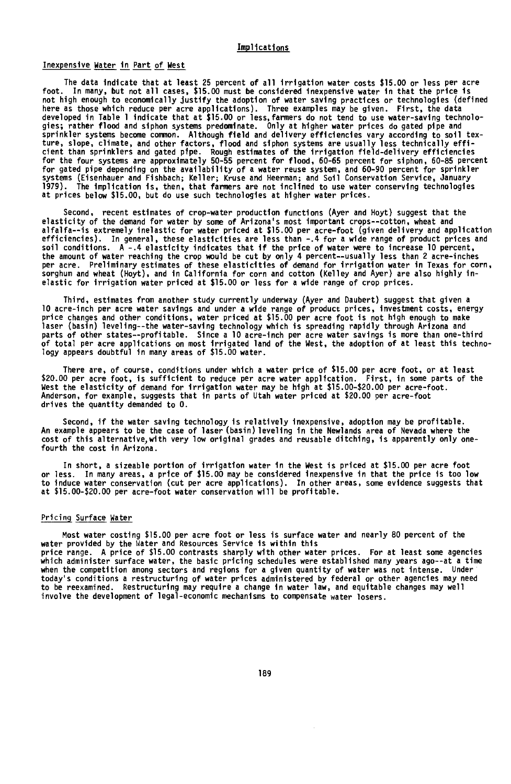# Implications

# Inexpensive Water in Part of West

The data indicate that at least 25 percent of all irrigation water costs \$15.00 or less per acre<br>foot The many, but not all cases, \$15.00 must be considered inexpensive water in that the price is In many, but not all cases, \$15.00 must be considered inexpensive water in that the price is not high enough to economically justify the adoption of water saving practices or technologies (defined here as those which reduce per acre applications). Three examples may be given. First, the data developed in lable I indicate that at \$15.00 or less, rarmmers do not tend to use water-saving technolo-<br>gies; rather flood and siphon systems predominate. Only at higher water prices do gated pipe and<br>sprinkler systems be ror gated pipe depending on the availability of a water reuse system, and 60–90 percent for sprinkler<br>systems (Eisenhauer and Fishbach; Keller; Kruse and Heerman; and Soil Conservation Service, January<br>1979). The implicat

Second, recent estimates of crop-water production functions (Ayer and Hoyt) suggest that the elasticity of the demand for water by some of Arizona's most important crops--cotton, wheat and alfalfa --is extremely inelastic for water priced at \$15.00 per acre -foot (given delivery and application efficiencies). In general, these elasticities are less than -.4 for a wide range of product prices and soil conditions. A -.4 elasticity indicates that if the price of water were to increase 10 percent, the amount of water reaching the crop would be cut by only 4 percent--usually less than 2 acre-inches per acre. Preliminary estimates of these elasticities of demand for irrigation water in lexas for corn,<br>sorghum and wheat (Hoyt), and in California for corn and cotton (Kelley and Ayer) are also highly inelastic for irrigation water priced at \$15.00 or less for a wide range of crop prices.

Third, estimates from another study currently underway (Ayer and Daubert) suggest that given a 10 acre -inch per acre water savings and under a wide range of product prices, investment costs, energy price changes and other conditions, water priced at \$15.00 per acre foot is not high enough to make laser (basin) leveling--the water-saving technology which is spreading rapidly through Arizona and parts of other states--profitable. Since a 10 acre-inch per acre water savings is more than one-third<br>of total per acre applications on most irrigated land of the West, the adoption of at least this techno-<br>logy appears d

There are, of course, conditions under which a water price of \$15.00 per acre foot, or at least \$20.00 per acre foot, is sufficient to reduce per acre water application. First, in some parts of the west the elasticity of demand for irrigation water may be high at \$15.00-\$20.00 per acre-foot.<br>Anderson, for example, suggests that in parts of Utah water priced at \$20.00 per acre-foot drives the quantity demanded to 0.

Second, if the water saving technology is relatively inexpensive, adoption may be profitable. An example appears to be the case of laser (basin) leveling in the Newlands area of Nevada where the cost of this alternative with very low original grades and reusable ditching, is apparently only one fourth the cost in Arizona.

In short, a sizeable portion of irrigation water in the West is priced at \$15.00 per acre foot or less. In many areas, a price of \$15.00 may be considered inexpensive in that the price is too low to induce water conservation (cut per acre applications). In other areas, some evidence suggests that at \$15.00- \$20.00 per acre -foot water conservation will be profitable.

#### Pricing Surface Water

Most water costing \$15.00 per acre foot or less is surface water and nearly 80 percent of the water provided by the Water and Resources Service is within this price range. A price of \$15.00 contrasts sharply with other water prices. For at least some agencies which administer surface water, the basic pricing schedules were established many years ago--at a time when the competition among sectors and regions for a given quantity of water was not intense. Under today's conditions a restructuring of water prices administered by federal or other agencies may need to be reexamined. Restructuring may require a change in water law, and equitable changes may well involve the development of legal -economic mechanisms to compensate water losers.